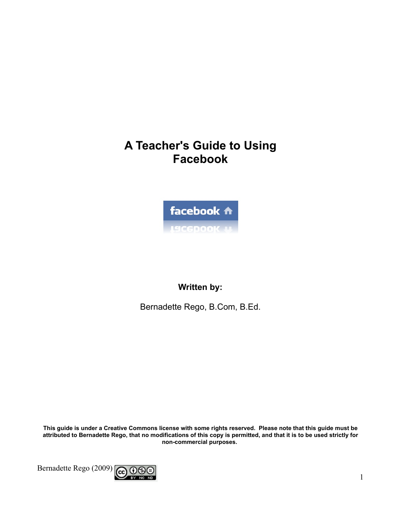# **A Teacher's Guide to Using Facebook**



### Written by:

Bernadette Rego, B.Com, B.Ed.

This guide is under a Creative Commons license with some rights reserved. Please note that this guide must be attributed to Bernadette Rego, that no modifications of this copy is permitted, and that it is to be used strictly for non-commercial purposes.

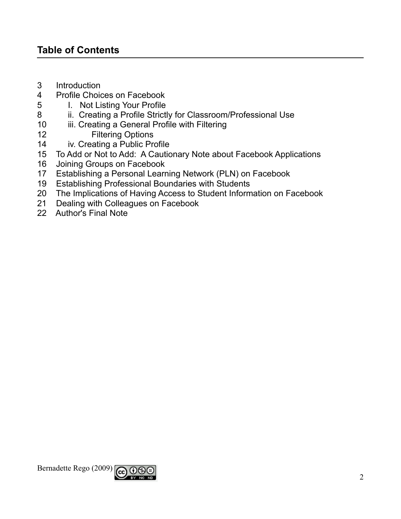### **Table of Contents**

- $3<sup>1</sup>$ Introduction
- $\overline{4}$ Profile Choices on Facebook
- 5 I. Not Listing Your Profile
- ii. Creating a Profile Strictly for Classroom/Professional Use 8
- iii. Creating a General Profile with Filtering  $10<sup>°</sup>$
- **Filtering Options**  $12<sup>2</sup>$
- iv. Creating a Public Profile  $14$
- To Add or Not to Add: A Cautionary Note about Facebook Applications  $15<sub>15</sub>$
- Joining Groups on Facebook  $16$
- Establishing a Personal Learning Network (PLN) on Facebook  $17$
- **Establishing Professional Boundaries with Students** 19
- The Implications of Having Access to Student Information on Facebook 20
- Dealing with Colleagues on Facebook  $21$
- 22 Author's Final Note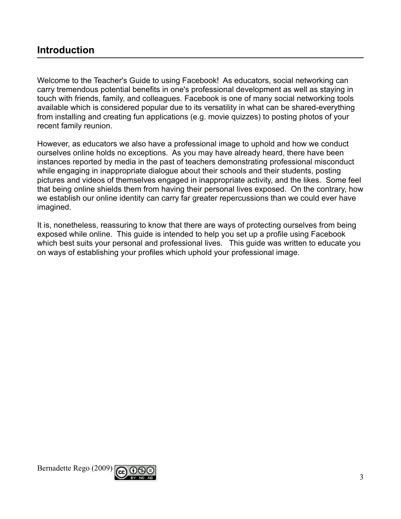### **Introduction**

Welcome to the Teacher's Guide to using Facebook! As educators, social networking can carry tremendous potential benefits in one's professional development as well as staying in touch with friends, family, and colleagues. Facebook is one of many social networking tools available which is considered popular due to its versatility in what can be shared-everything from installing and creating fun applications (e.g. movie quizzes) to posting photos of your recent family reunion.

However, as educators we also have a professional image to uphold and how we conduct ourselves online holds no exceptions. As you may have already heard, there have been instances reported by media in the past of teachers demonstrating professional misconduct while engaging in inappropriate dialogue about their schools and their students, posting pictures and videos of themselves engaged in inappropriate activity, and the likes. Some feel that being online shields them from having their personal lives exposed. On the contrary, how we establish our online identity can carry far greater repercussions than we could ever have imagined.

It is, nonetheless, reassuring to know that there are ways of protecting ourselves from being exposed while online. This guide is intended to help you set up a profile using Facebook which best suits your personal and professional lives. This guide was written to educate you on ways of establishing your profiles which uphold your professional image.

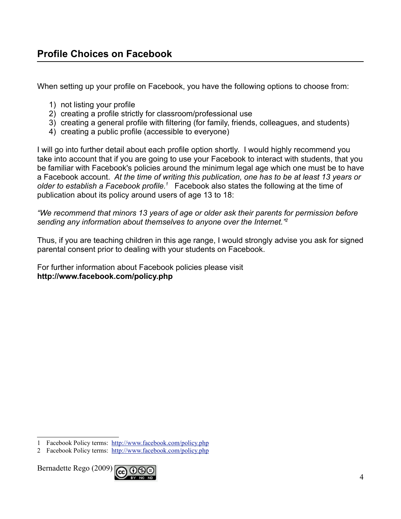When setting up your profile on Facebook, you have the following options to choose from:

- 1) not listing your profile
- 2) creating a profile strictly for classroom/professional use
- 3) creating a general profile with filtering (for family, friends, colleagues, and students)
- 4) creating a public profile (accessible to everyone)

I will go into further detail about each profile option shortly. I would highly recommend you take into account that if you are going to use your Facebook to interact with students, that you be familiar with Facebook's policies around the minimum legal age which one must be to have a Facebook account. At the time of writing this publication, one has to be at least 13 years or older to establish a Facebook profile.<sup>1</sup> Facebook also states the following at the time of publication about its policy around users of age 13 to 18:

"We recommend that minors 13 years of age or older ask their parents for permission before sending any information about themselves to anyone over the Internet."

Thus, if you are teaching children in this age range, I would strongly advise you ask for signed parental consent prior to dealing with your students on Facebook.

For further information about Facebook policies please visit http://www.facebook.com/policy.php



<span id="page-3-1"></span><sup>1</sup> Facebook Policy terms: http://www.facebook.com/policy.php

<span id="page-3-0"></span><sup>2</sup> Facebook Policy terms: http://www.facebook.com/policy.php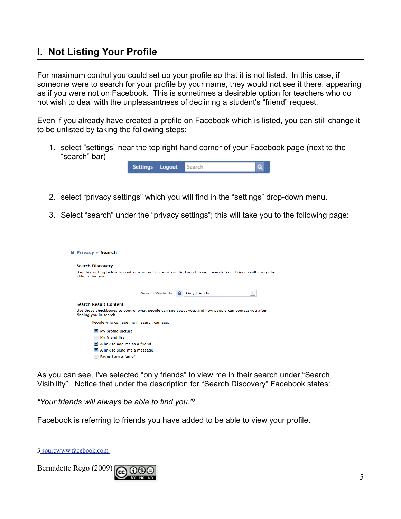### I. Not Listing Your Profile

For maximum control you could set up your profile so that it is not listed. In this case, if someone were to search for your profile by your name, they would not see it there, appearing as if you were not on Facebook. This is sometimes a desirable option for teachers who do not wish to deal with the unpleasantness of declining a student's "friend" request.

Even if you already have created a profile on Facebook which is listed, you can still change it to be unlisted by taking the following steps:

1. select "settings" near the top right hand corner of your Facebook page (next to the "search" bar)



- 2. select "privacy settings" which you will find in the "settings" drop-down menu.
- 3. Select "search" under the "privacy settings"; this will take you to the following page:

| $\triangle$ Privacy $\triangleright$ Search                                                                                     |
|---------------------------------------------------------------------------------------------------------------------------------|
| <b>Search Discovery</b>                                                                                                         |
| Use this setting below to control who on Facebook can find you through search. Your Friends will always be<br>able to find you. |
| <b>Search Visibility</b><br><b>A</b> Only Friends<br>$\blacktriangledown$                                                       |
| <b>Search Result Content</b>                                                                                                    |
| Use these checkboxes to control what people can see about you, and how people can contact you after<br>finding you in search.   |
| People who can see me in search can see:                                                                                        |
| My profile picture                                                                                                              |
| My friend list                                                                                                                  |
| A link to add me as a friend                                                                                                    |
| A link to send me a message                                                                                                     |
| Pages I am a fan of                                                                                                             |

As you can see, I've selected "only friends" to view me in their search under "Search Visibility". Notice that under the description for "Search Discovery" Facebook states:

"Your friends will always be able to find you."<sup>3</sup>

Facebook is referring to friends you have added to be able to view your profile.



<span id="page-4-0"></span><sup>3</sup>\_sourcwww.facebook.com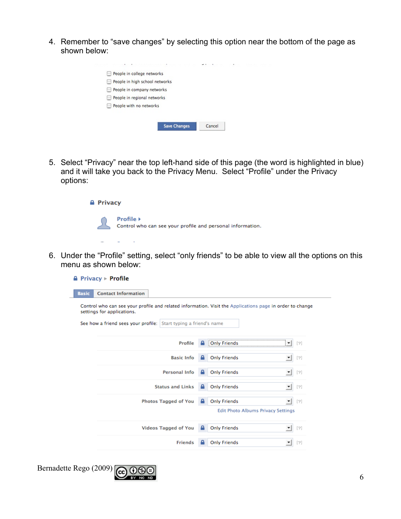4. Remember to "save changes" by selecting this option near the bottom of the page as shown below:

| People in college networks     |        |  |
|--------------------------------|--------|--|
| People in high school networks |        |  |
| People in company networks     |        |  |
| People in regional networks    |        |  |
| People with no networks        |        |  |
|                                |        |  |
| <b>Save Changes</b>            | Cancel |  |
|                                |        |  |

5. Select "Privacy" near the top left-hand side of this page (the word is highlighted in blue) and it will take you back to the Privacy Menu. Select "Profile" under the Privacy options:



6. Under the "Profile" setting, select "only friends" to be able to view all the options on this menu as shown below:

|              | <b>A</b> Privacy $\triangleright$ <b>Profile</b>                 |                             |   |                                                                                                                                                                                                                                                                                                                                                                                                                                                                                                                                                                                                                                  |
|--------------|------------------------------------------------------------------|-----------------------------|---|----------------------------------------------------------------------------------------------------------------------------------------------------------------------------------------------------------------------------------------------------------------------------------------------------------------------------------------------------------------------------------------------------------------------------------------------------------------------------------------------------------------------------------------------------------------------------------------------------------------------------------|
| <b>Basic</b> | <b>Contact Information</b>                                       |                             |   |                                                                                                                                                                                                                                                                                                                                                                                                                                                                                                                                                                                                                                  |
|              | settings for applications.                                       |                             |   | Control who can see your profile and related information. Visit the Applications page in order to change                                                                                                                                                                                                                                                                                                                                                                                                                                                                                                                         |
|              | See how a friend sees your profile: Start typing a friend's name |                             |   |                                                                                                                                                                                                                                                                                                                                                                                                                                                                                                                                                                                                                                  |
|              |                                                                  | Profile                     |   | $[2]$<br>i Only Friends<br>▼                                                                                                                                                                                                                                                                                                                                                                                                                                                                                                                                                                                                     |
|              |                                                                  | <b>Basic Info</b>           |   | <b>Only Friends</b><br>$[2]$                                                                                                                                                                                                                                                                                                                                                                                                                                                                                                                                                                                                     |
|              |                                                                  | <b>Personal Info</b>        |   | <b>Only Friends</b><br>$[2]$<br>$\overline{\phantom{a}}$                                                                                                                                                                                                                                                                                                                                                                                                                                                                                                                                                                         |
|              |                                                                  | <b>Status and Links</b>     |   | <b>Only Friends</b><br>$[?] % \begin{subfigure}[t]{0.45\textwidth} \includegraphics[width=\textwidth]{figures/fig_10.pdf} \caption{The 3D (i) and 4D (j) are shown in the left and right.} \label{fig:2d} \end{subfigure} \begin{subfigure}[t]{0.45\textwidth} \includegraphics[width=\textwidth]{figures/fig_2d.pdf} \caption{The 4D (i) and 4D (j) are shown in the right and right.} \label{fig:2d} \end{subfigure} \begin{subfigure}[t]{0.45\textwidth} \includegraphics[width=\textwidth]{figures/fig_2d.pdf} \caption{The 4D (i) and 4D (j) are shown in the right and right.} \label{fig:2d}$<br>$\overline{\phantom{a}}$ |
|              |                                                                  | <b>Photos Tagged of You</b> |   | <b>Only Friends</b><br>$[?]$                                                                                                                                                                                                                                                                                                                                                                                                                                                                                                                                                                                                     |
|              |                                                                  |                             |   | Edit Photo Albums Privacy Settings                                                                                                                                                                                                                                                                                                                                                                                                                                                                                                                                                                                               |
|              |                                                                  | <b>Videos Tagged of You</b> | А | <b>Only Friends</b><br>$[2]$                                                                                                                                                                                                                                                                                                                                                                                                                                                                                                                                                                                                     |
|              |                                                                  | <b>Friends</b>              | а | <b>Only Friends</b><br>$[2]$                                                                                                                                                                                                                                                                                                                                                                                                                                                                                                                                                                                                     |
|              |                                                                  |                             |   |                                                                                                                                                                                                                                                                                                                                                                                                                                                                                                                                                                                                                                  |



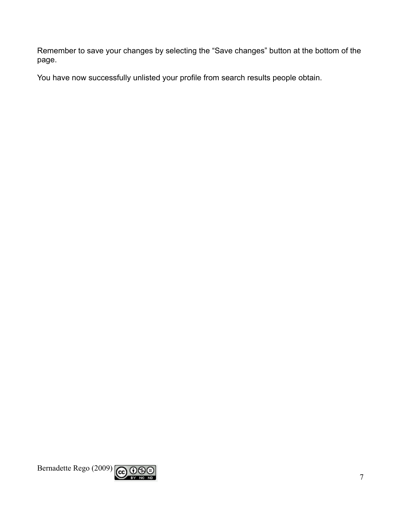Remember to save your changes by selecting the "Save changes" button at the bottom of the page.

You have now successfully unlisted your profile from search results people obtain.

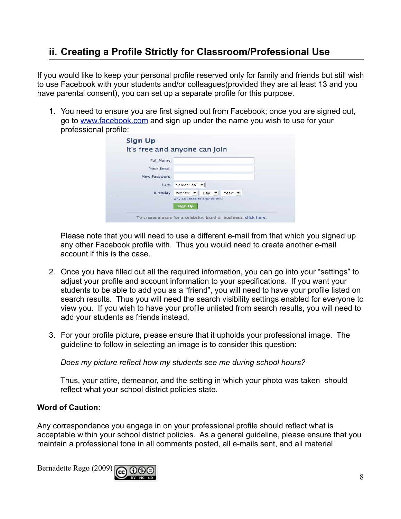## ii. Creating a Profile Strictly for Classroom/Professional Use

If you would like to keep your personal profile reserved only for family and friends but still wish to use Facebook with your students and/or colleagues(provided they are at least 13 and you have parental consent), you can set up a separate profile for this purpose.

1. You need to ensure you are first signed out from Facebook; once you are signed out, go to www.facebook.com and sign up under the name you wish to use for your professional profile:

|               | Your Email:                                                              |
|---------------|--------------------------------------------------------------------------|
| New Password: |                                                                          |
|               | Select Sex: v<br>I am:                                                   |
|               | Year: $\blacktriangledown$<br>Birthday:<br>Month: -<br>Day: $\mathbf{v}$ |

Please note that you will need to use a different e-mail from that which you signed up any other Facebook profile with. Thus you would need to create another e-mail account if this is the case.

- 2. Once you have filled out all the required information, you can go into your "settings" to adjust your profile and account information to your specifications. If you want your students to be able to add you as a "friend", you will need to have your profile listed on search results. Thus you will need the search visibility settings enabled for everyone to view you. If you wish to have your profile unlisted from search results, you will need to add your students as friends instead.
- 3. For your profile picture, please ensure that it upholds your professional image. The guideline to follow in selecting an image is to consider this question:

Does my picture reflect how my students see me during school hours?

Thus, your attire, demeanor, and the setting in which your photo was taken should reflect what your school district policies state.

#### **Word of Caution:**

Any correspondence you engage in on your professional profile should reflect what is acceptable within your school district policies. As a general guideline, please ensure that you maintain a professional tone in all comments posted, all e-mails sent, and all material

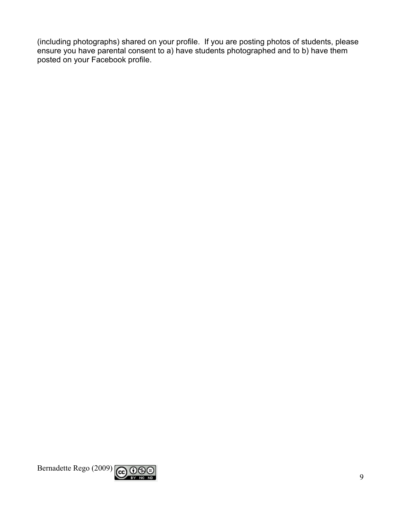(including photographs) shared on your profile. If you are posting photos of students, please ensure you have parental consent to a) have students photographed and to b) have them posted on your Facebook profile.

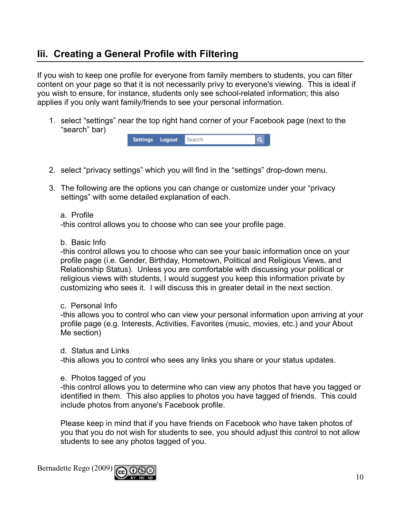### lii. Creating a General Profile with Filtering

If you wish to keep one profile for everyone from family members to students, you can filter content on your page so that it is not necessarily privy to everyone's viewing. This is ideal if you wish to ensure, for instance, students only see school-related information; this also applies if you only want family/friends to see your personal information.

1. select "settings" near the top right hand corner of your Facebook page (next to the "search" bar)

| Settings Logout | <b>Search</b> |  |
|-----------------|---------------|--|
|-----------------|---------------|--|

- 2. select "privacy settings" which you will find in the "settings" drop-down menu.
- 3. The following are the options you can change or customize under your "privacy" settings" with some detailed explanation of each.
	- a Profile

-this control allows you to choose who can see your profile page.

b. Basic Info

-this control allows you to choose who can see your basic information once on your profile page (i.e. Gender, Birthday, Hometown, Political and Religious Views, and Relationship Status). Unless you are comfortable with discussing your political or religious views with students, I would suggest you keep this information private by customizing who sees it. I will discuss this in greater detail in the next section.

c. Personal Info

-this allows you to control who can view your personal information upon arriving at your profile page (e.g. Interests, Activities, Favorites (music, movies, etc.) and your About Me section)

d Status and Links

-this allows you to control who sees any links you share or your status updates.

e. Photos tagged of you

-this control allows you to determine who can view any photos that have you tagged or identified in them. This also applies to photos you have tagged of friends. This could include photos from anyone's Facebook profile.

Please keep in mind that if you have friends on Facebook who have taken photos of you that you do not wish for students to see, you should adjust this control to not allow students to see any photos tagged of you.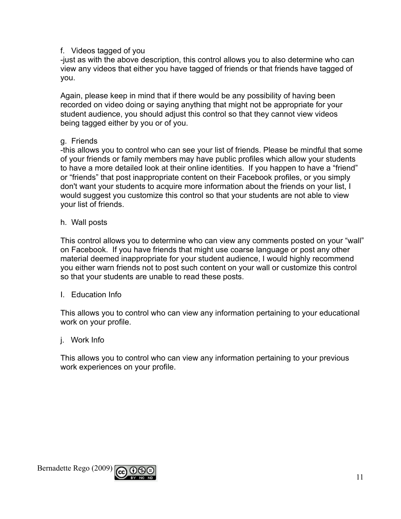#### f. Videos tagged of you

-just as with the above description, this control allows you to also determine who can view any videos that either you have tagged of friends or that friends have tagged of you.

Again, please keep in mind that if there would be any possibility of having been recorded on video doing or saying anything that might not be appropriate for your student audience, you should adjust this control so that they cannot view videos being tagged either by you or of you.

#### q. Friends

-this allows you to control who can see your list of friends. Please be mindful that some of your friends or family members may have public profiles which allow your students to have a more detailed look at their online identities. If you happen to have a "friend" or "friends" that post inappropriate content on their Facebook profiles, or you simply don't want your students to acquire more information about the friends on your list, I would suggest you customize this control so that your students are not able to view your list of friends.

h. Wall posts

This control allows you to determine who can view any comments posted on your "wall" on Facebook. If you have friends that might use coarse language or post any other material deemed inappropriate for your student audience, I would highly recommend you either warn friends not to post such content on your wall or customize this control so that your students are unable to read these posts.

**I** Education Info

This allows you to control who can view any information pertaining to your educational work on your profile.

i. Work Info

This allows you to control who can view any information pertaining to your previous work experiences on your profile.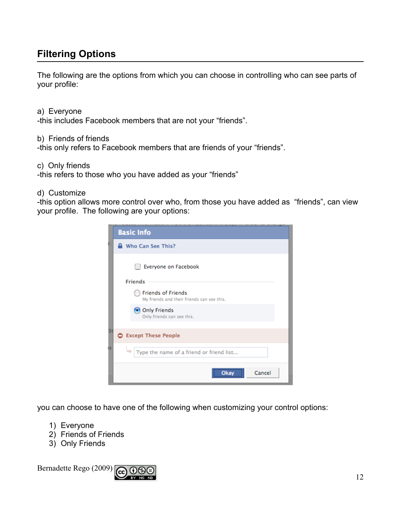### **Filtering Options**

The following are the options from which you can choose in controlling who can see parts of your profile:

a) Everyone -this includes Facebook members that are not your "friends".

b) Friends of friends

-this only refers to Facebook members that are friends of your "friends".

c) Only friends

-this refers to those who you have added as your "friends"

#### d) Customize

-this option allows more control over who, from those you have added as "friends", can view your profile. The following are your options:

|    | <b>Basic Info</b>                                                       |
|----|-------------------------------------------------------------------------|
|    | Who Can See This?                                                       |
|    | Everyone on Facebook                                                    |
|    | <b>Friends</b>                                                          |
|    | <b>Friends of Friends</b><br>My friends and their friends can see this. |
|    | Only Friends<br>Only friends can see this.                              |
| Sτ |                                                                         |
|    | <b>C</b> Except These People                                            |
|    | Type the name of a friend or friend list                                |
|    | Cancel                                                                  |

you can choose to have one of the following when customizing your control options:

- 1) Everyone
- 2) Friends of Friends
- 3) Only Friends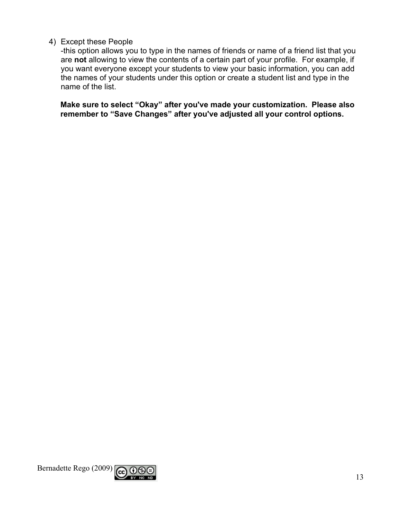#### 4) Except these People

-this option allows you to type in the names of friends or name of a friend list that you are not allowing to view the contents of a certain part of your profile. For example, if you want everyone except your students to view your basic information, you can add the names of your students under this option or create a student list and type in the name of the list.

Make sure to select "Okay" after you've made your customization. Please also remember to "Save Changes" after you've adjusted all your control options.

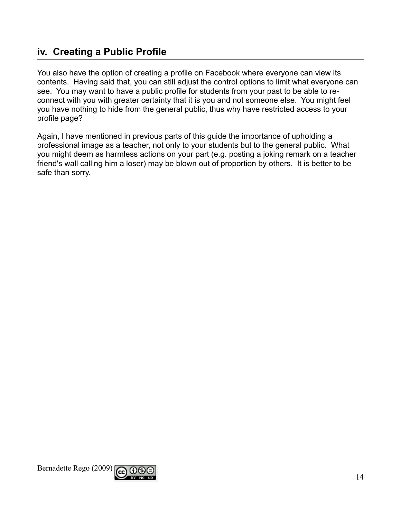### iv. Creating a Public Profile

You also have the option of creating a profile on Facebook where everyone can view its contents. Having said that, you can still adjust the control options to limit what everyone can see. You may want to have a public profile for students from your past to be able to reconnect with you with greater certainty that it is you and not someone else. You might feel you have nothing to hide from the general public, thus why have restricted access to your profile page?

Again, I have mentioned in previous parts of this guide the importance of upholding a professional image as a teacher, not only to your students but to the general public. What you might deem as harmless actions on your part (e.g. posting a joking remark on a teacher friend's wall calling him a loser) may be blown out of proportion by others. It is better to be safe than sorry.

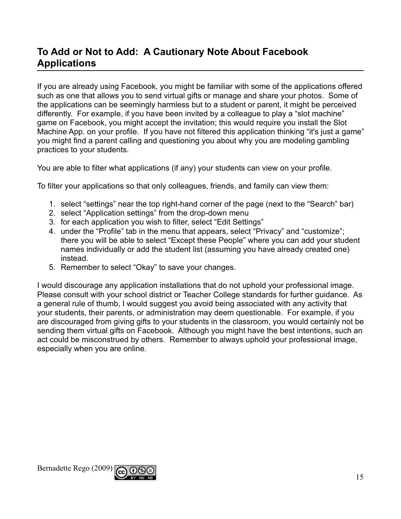### To Add or Not to Add: A Cautionary Note About Facebook **Applications**

If you are already using Facebook, you might be familiar with some of the applications offered such as one that allows you to send virtual gifts or manage and share your photos. Some of the applications can be seemingly harmless but to a student or parent, it might be perceived differently. For example, if you have been invited by a colleague to play a "slot machine" game on Facebook, you might accept the invitation; this would require you install the Slot Machine App. on your profile. If you have not filtered this application thinking "it's just a game" you might find a parent calling and questioning you about why you are modeling gambling practices to your students.

You are able to filter what applications (if any) your students can view on your profile.

To filter your applications so that only colleagues, friends, and family can view them:

- 1. select "settings" near the top right-hand corner of the page (next to the "Search" bar)
- 2. select "Application settings" from the drop-down menu
- 3. for each application you wish to filter, select "Edit Settings"
- 4. under the "Profile" tab in the menu that appears, select "Privacy" and "customize": there you will be able to select "Except these People" where you can add your student names individually or add the student list (assuming you have already created one) instead.
- 5. Remember to select "Okay" to save your changes.

I would discourage any application installations that do not uphold your professional image. Please consult with your school district or Teacher College standards for further guidance. As a general rule of thumb, I would suggest you avoid being associated with any activity that your students, their parents, or administration may deem questionable. For example, if you are discouraged from giving gifts to your students in the classroom, you would certainly not be sending them virtual gifts on Facebook. Although you might have the best intentions, such an act could be misconstrued by others. Remember to always uphold your professional image, especially when you are online.

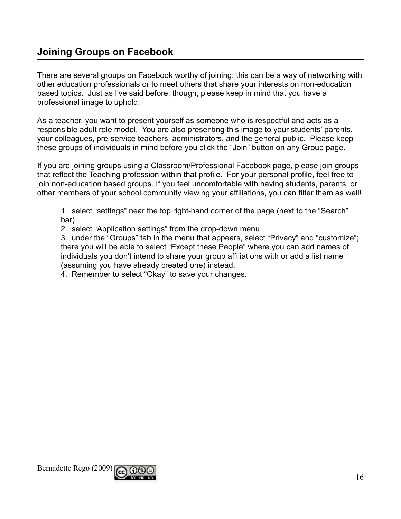### **Joining Groups on Facebook**

There are several groups on Facebook worthy of joining; this can be a way of networking with other education professionals or to meet others that share your interests on non-education based topics. Just as I've said before, though, please keep in mind that you have a professional image to uphold.

As a teacher, you want to present yourself as someone who is respectful and acts as a responsible adult role model. You are also presenting this image to your students' parents, your colleagues, pre-service teachers, administrators, and the general public. Please keep these groups of individuals in mind before you click the "Join" button on any Group page.

If you are joining groups using a Classroom/Professional Facebook page, please join groups that reflect the Teaching profession within that profile. For your personal profile, feel free to join non-education based groups. If you feel uncomfortable with having students, parents, or other members of your school community viewing your affiliations, you can filter them as well!

1. select "settings" near the top right-hand corner of the page (next to the "Search" bar)

2. select "Application settings" from the drop-down menu

3. under the "Groups" tab in the menu that appears, select "Privacy" and "customize"; there you will be able to select "Except these People" where you can add names of individuals you don't intend to share your group affiliations with or add a list name (assuming you have already created one) instead.

4. Remember to select "Okay" to save your changes.

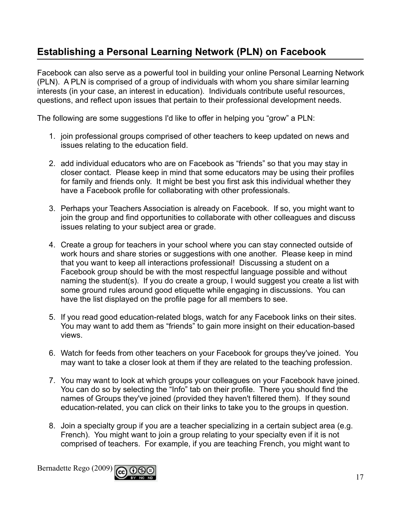## Establishing a Personal Learning Network (PLN) on Facebook

Facebook can also serve as a powerful tool in building your online Personal Learning Network (PLN). A PLN is comprised of a group of individuals with whom you share similar learning interests (in your case, an interest in education). Individuals contribute useful resources, questions, and reflect upon issues that pertain to their professional development needs.

The following are some suggestions I'd like to offer in helping you "grow" a PLN:

- 1. join professional groups comprised of other teachers to keep updated on news and issues relating to the education field.
- 2. add individual educators who are on Facebook as "friends" so that you may stay in closer contact. Please keep in mind that some educators may be using their profiles for family and friends only. It might be best you first ask this individual whether they have a Facebook profile for collaborating with other professionals.
- 3. Perhaps your Teachers Association is already on Facebook. If so, you might want to join the group and find opportunities to collaborate with other colleagues and discuss issues relating to your subject area or grade.
- 4. Create a group for teachers in your school where you can stay connected outside of work hours and share stories or suggestions with one another. Please keep in mind that you want to keep all interactions professional! Discussing a student on a Facebook group should be with the most respectful language possible and without naming the student(s). If you do create a group, I would suggest you create a list with some ground rules around good etiquette while engaging in discussions. You can have the list displayed on the profile page for all members to see.
- 5. If you read good education-related blogs, watch for any Facebook links on their sites. You may want to add them as "friends" to gain more insight on their education-based views.
- 6. Watch for feeds from other teachers on your Facebook for groups they've joined. You may want to take a closer look at them if they are related to the teaching profession.
- 7. You may want to look at which groups your colleagues on your Facebook have joined. You can do so by selecting the "Info" tab on their profile. There you should find the names of Groups they've joined (provided they haven't filtered them). If they sound education-related, you can click on their links to take you to the groups in question.
- 8. Join a specialty group if you are a teacher specializing in a certain subject area (e.g. French). You might want to join a group relating to your specialty even if it is not comprised of teachers. For example, if you are teaching French, you might want to

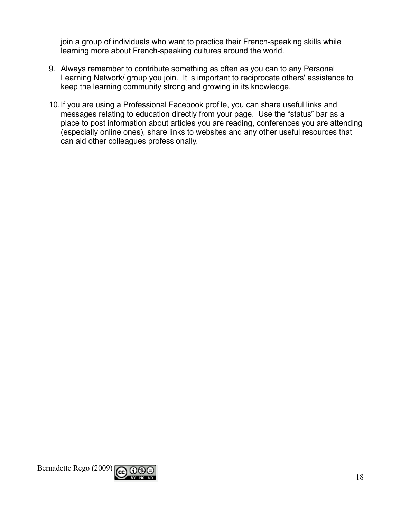join a group of individuals who want to practice their French-speaking skills while learning more about French-speaking cultures around the world.

- 9. Always remember to contribute something as often as you can to any Personal Learning Network/ group you join. It is important to reciprocate others' assistance to keep the learning community strong and growing in its knowledge.
- 10. If you are using a Professional Facebook profile, you can share useful links and messages relating to education directly from your page. Use the "status" bar as a place to post information about articles you are reading, conferences you are attending (especially online ones), share links to websites and any other useful resources that can aid other colleagues professionally.

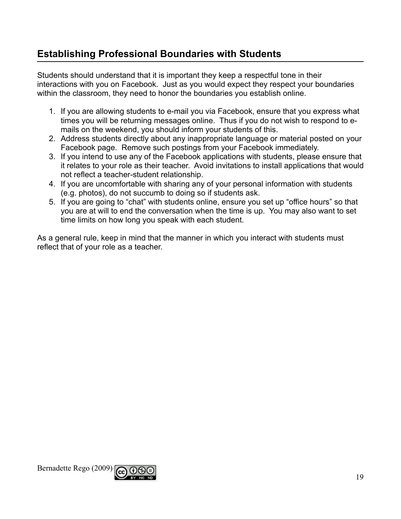### **Establishing Professional Boundaries with Students**

Students should understand that it is important they keep a respectful tone in their interactions with you on Facebook. Just as you would expect they respect your boundaries within the classroom, they need to honor the boundaries you establish online.

- 1. If you are allowing students to e-mail you via Facebook, ensure that you express what times you will be returning messages online. Thus if you do not wish to respond to emails on the weekend, you should inform your students of this.
- 2. Address students directly about any inappropriate language or material posted on your Facebook page. Remove such postings from your Facebook immediately.
- 3. If you intend to use any of the Facebook applications with students, please ensure that it relates to your role as their teacher. Avoid invitations to install applications that would not reflect a teacher-student relationship.
- 4. If you are uncomfortable with sharing any of your personal information with students (e.g. photos), do not succumb to doing so if students ask.
- 5. If you are going to "chat" with students online, ensure you set up "office hours" so that you are at will to end the conversation when the time is up. You may also want to set time limits on how long you speak with each student.

As a general rule, keep in mind that the manner in which you interact with students must reflect that of your role as a teacher.

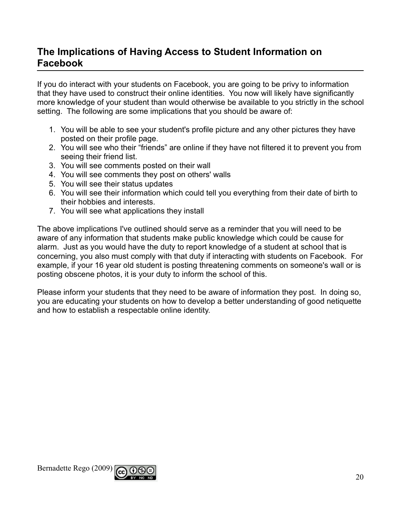### The Implications of Having Access to Student Information on **Facebook**

If you do interact with your students on Facebook, you are going to be privy to information that they have used to construct their online identities. You now will likely have significantly more knowledge of your student than would otherwise be available to you strictly in the school setting. The following are some implications that you should be aware of:

- 1. You will be able to see your student's profile picture and any other pictures they have posted on their profile page.
- 2. You will see who their "friends" are online if they have not filtered it to prevent you from seeing their friend list.
- 3. You will see comments posted on their wall
- 4. You will see comments they post on others' walls
- 5. You will see their status updates
- 6. You will see their information which could tell you everything from their date of birth to their hobbies and interests.
- 7. You will see what applications they install

The above implications I've outlined should serve as a reminder that you will need to be aware of any information that students make public knowledge which could be cause for alarm. Just as you would have the duty to report knowledge of a student at school that is concerning, you also must comply with that duty if interacting with students on Facebook. For example, if your 16 year old student is posting threatening comments on someone's wall or is posting obscene photos, it is your duty to inform the school of this.

Please inform your students that they need to be aware of information they post. In doing so, you are educating your students on how to develop a better understanding of good netiquette and how to establish a respectable online identity.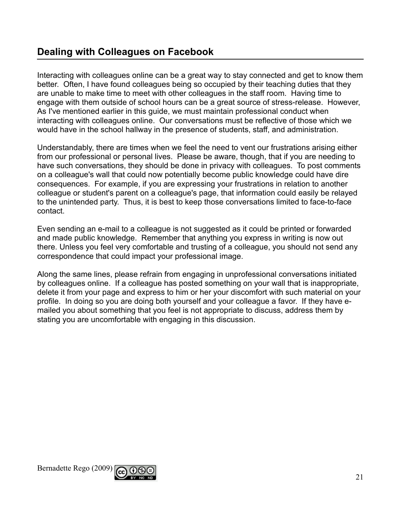### **Dealing with Colleagues on Facebook**

Interacting with colleagues online can be a great way to stay connected and get to know them better. Often, I have found colleagues being so occupied by their teaching duties that they are unable to make time to meet with other colleagues in the staff room. Having time to engage with them outside of school hours can be a great source of stress-release. However, As I've mentioned earlier in this guide, we must maintain professional conduct when interacting with colleagues online. Our conversations must be reflective of those which we would have in the school hallway in the presence of students, staff, and administration.

Understandably, there are times when we feel the need to vent our frustrations arising either from our professional or personal lives. Please be aware, though, that if you are needing to have such conversations, they should be done in privacy with colleagues. To post comments on a colleague's wall that could now potentially become public knowledge could have dire consequences. For example, if you are expressing your frustrations in relation to another colleague or student's parent on a colleague's page, that information could easily be relayed to the unintended party. Thus, it is best to keep those conversations limited to face-to-face contact.

Even sending an e-mail to a colleague is not suggested as it could be printed or forwarded and made public knowledge. Remember that anything you express in writing is now out there. Unless you feel very comfortable and trusting of a colleague, you should not send any correspondence that could impact your professional image.

Along the same lines, please refrain from engaging in unprofessional conversations initiated by colleagues online. If a colleague has posted something on your wall that is inappropriate, delete it from your page and express to him or her your discomfort with such material on your profile. In doing so you are doing both yourself and your colleague a favor. If they have emailed you about something that you feel is not appropriate to discuss, address them by stating you are uncomfortable with engaging in this discussion.